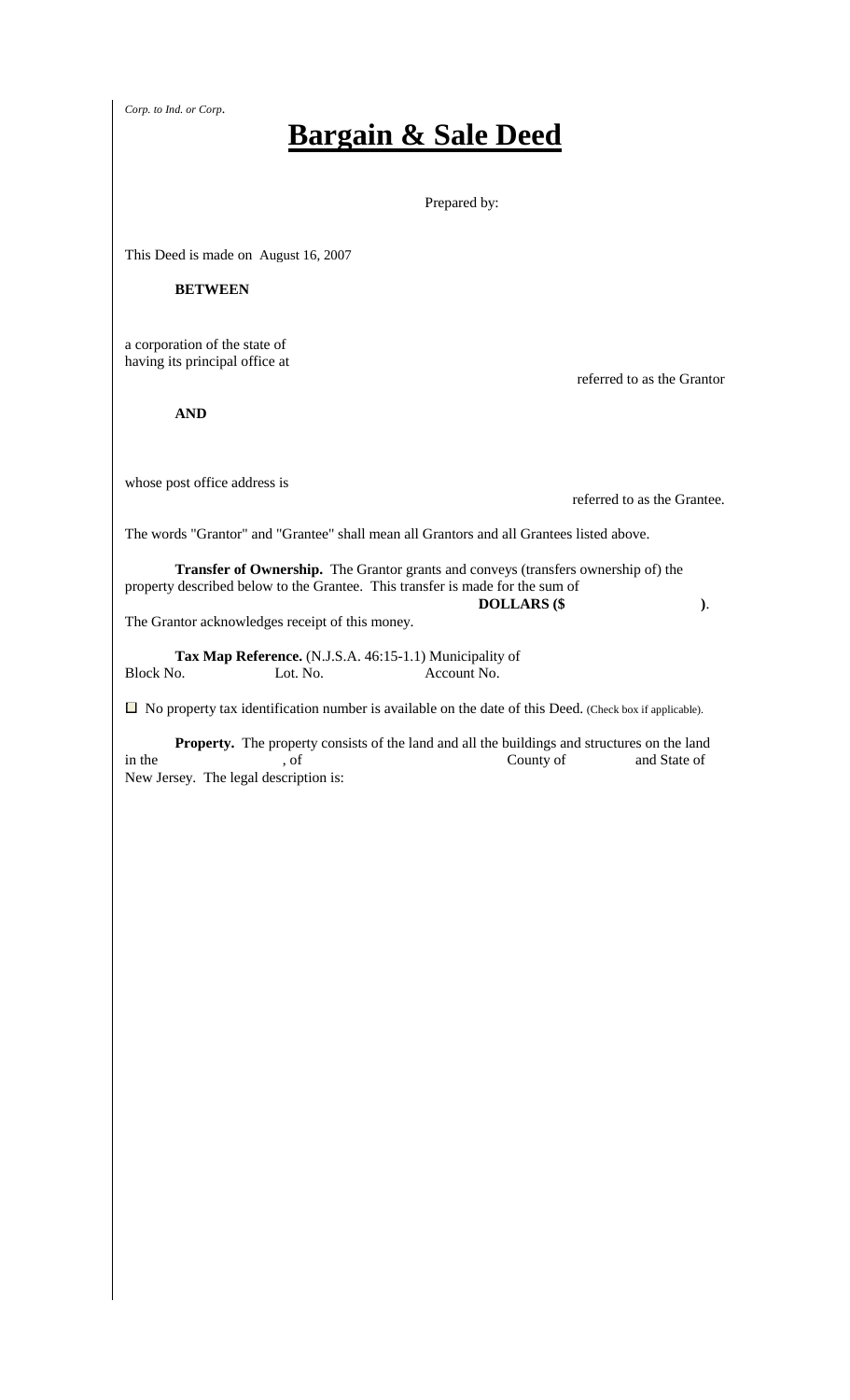*Corp. to Ind. or Corp.*

## **Bargain & Sale Deed**

Prepared by:

This Deed is made on August 16, 2007

## **BETWEEN**

a corporation of the state of having its principal office at

 **AND** 

whose post office address is

referred to as the Grantee.

referred to as the Grantor

The words "Grantor" and "Grantee" shall mean all Grantors and all Grantees listed above.

 **Transfer of Ownership.** The Grantor grants and conveys (transfers ownership of) the property described below to the Grantee. This transfer is made for the sum of **DOLLARS (\$ )**.

The Grantor acknowledges receipt of this money.

**Tax Map Reference.** (N.J.S.A. 46:15-1.1) Municipality of Block No. Lot. No. Account No. Lot. No. Account No.

 $\Box$  No property tax identification number is available on the date of this Deed. (Check box if applicable).

 **Property.** The property consists of the land and all the buildings and structures on the land in the state of the county of and State of and State of  $\sim$ New Jersey. The legal description is: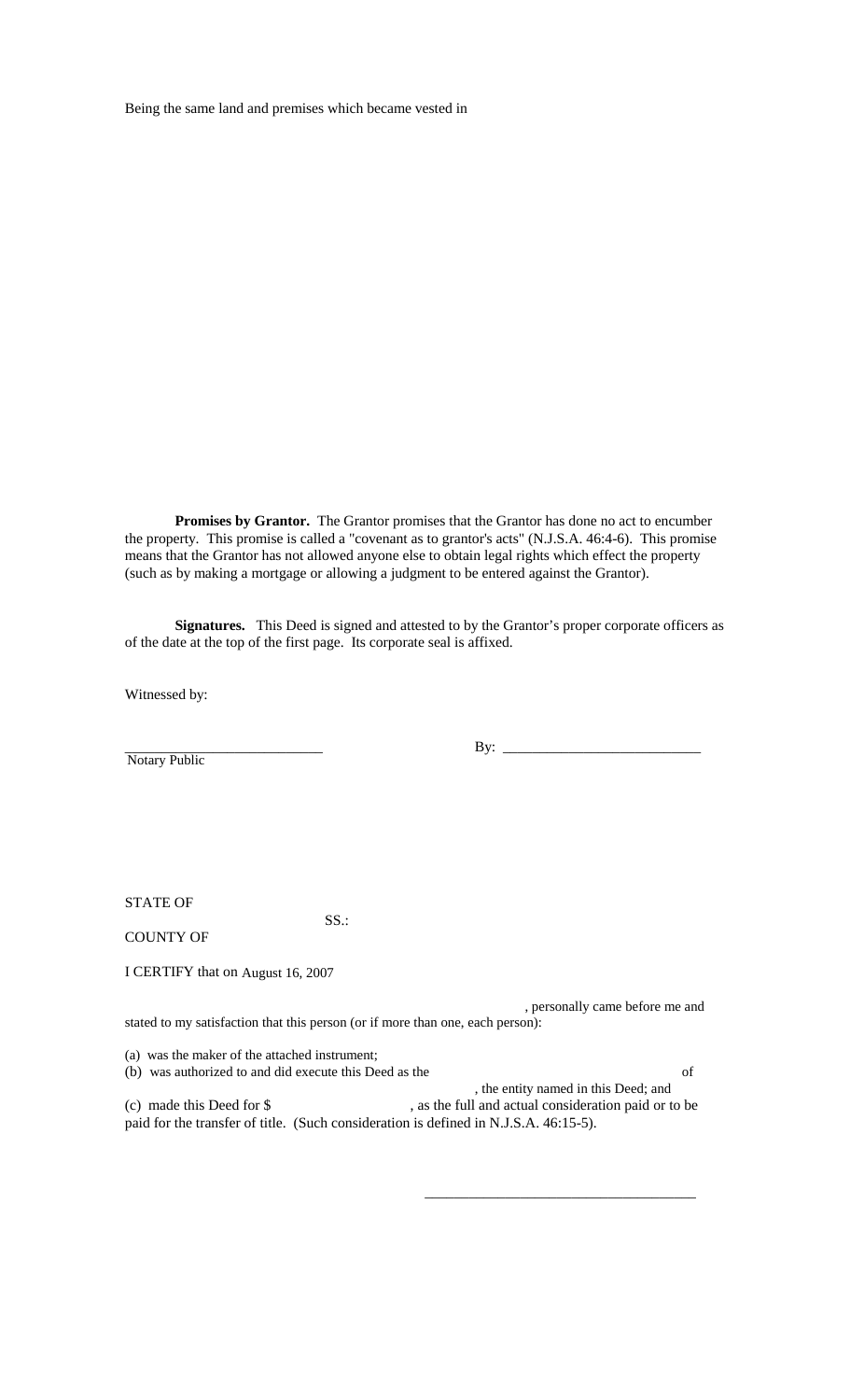Being the same land and premises which became vested in

 **Promises by Grantor.** The Grantor promises that the Grantor has done no act to encumber the property. This promise is called a "covenant as to grantor's acts" (N.J.S.A. 46:4-6). This promise means that the Grantor has not allowed anyone else to obtain legal rights which effect the property (such as by making a mortgage or allowing a judgment to be entered against the Grantor).

 **Signatures.** This Deed is signed and attested to by the Grantor's proper corporate officers as of the date at the top of the first page. Its corporate seal is affixed.

Witnessed by:

Notary Public

By:  $\_\_$ 

STATE OF

SS.:

COUNTY OF

I CERTIFY that on August 16, 2007

 , personally came before me and stated to my satisfaction that this person (or if more than one, each person):

(a) was the maker of the attached instrument;

(b) was authorized to and did execute this Deed as the of , the entity named in this Deed; and (c) made this Deed for \$ , as the full and actual consideration paid or to be paid for the transfer of title. (Such consideration is defined in N.J.S.A. 46:15-5).

 $\frac{1}{\sqrt{2}}$  ,  $\frac{1}{\sqrt{2}}$  ,  $\frac{1}{\sqrt{2}}$  ,  $\frac{1}{\sqrt{2}}$  ,  $\frac{1}{\sqrt{2}}$  ,  $\frac{1}{\sqrt{2}}$  ,  $\frac{1}{\sqrt{2}}$  ,  $\frac{1}{\sqrt{2}}$  ,  $\frac{1}{\sqrt{2}}$  ,  $\frac{1}{\sqrt{2}}$  ,  $\frac{1}{\sqrt{2}}$  ,  $\frac{1}{\sqrt{2}}$  ,  $\frac{1}{\sqrt{2}}$  ,  $\frac{1}{\sqrt{2}}$  ,  $\frac{1}{\sqrt{2}}$